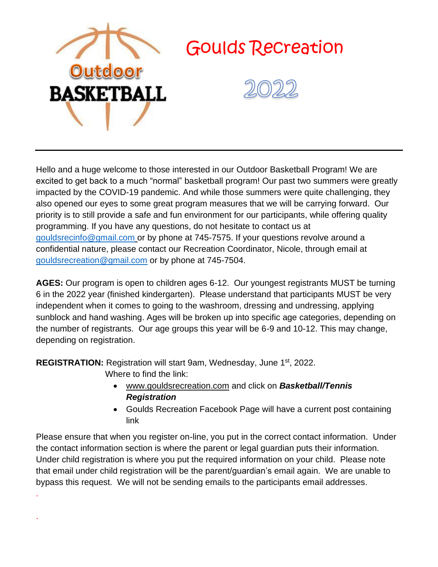

Hello and a huge welcome to those interested in our Outdoor Basketball Program! We are excited to get back to a much "normal" basketball program! Our past two summers were greatly impacted by the COVID-19 pandemic. And while those summers were quite challenging, they also opened our eyes to some great program measures that we will be carrying forward. Our priority is to still provide a safe and fun environment for our participants, while offering quality programming. If you have any questions, do not hesitate to contact us at [gouldsrecinfo@gmail.com](mailto:gouldsrecinfo@gmail.com) or by phone at 745-7575. If your questions revolve around a confidential nature, please contact our Recreation Coordinator, Nicole, through email at [gouldsrecreation@gmail.com](mailto:gouldsrecreation@gmail.com) or by phone at 745-7504.

**AGES:** Our program is open to children ages 6-12. Our youngest registrants MUST be turning 6 in the 2022 year (finished kindergarten). Please understand that participants MUST be very independent when it comes to going to the washroom, dressing and undressing, applying sunblock and hand washing. Ages will be broken up into specific age categories, depending on the number of registrants. Our age groups this year will be 6-9 and 10-12. This may change, depending on registration.

**REGISTRATION:** Registration will start 9am, Wednesday, June 1st, 2022.

Where to find the link:

.

.

- [www.gouldsrecreation.com](http://www.gouldsrecreation.com/) and click on *Basketball/Tennis Registration*
- Goulds Recreation Facebook Page will have a current post containing link

Please ensure that when you register on-line, you put in the correct contact information. Under the contact information section is where the parent or legal guardian puts their information. Under child registration is where you put the required information on your child. Please note that email under child registration will be the parent/guardian's email again. We are unable to bypass this request. We will not be sending emails to the participants email addresses.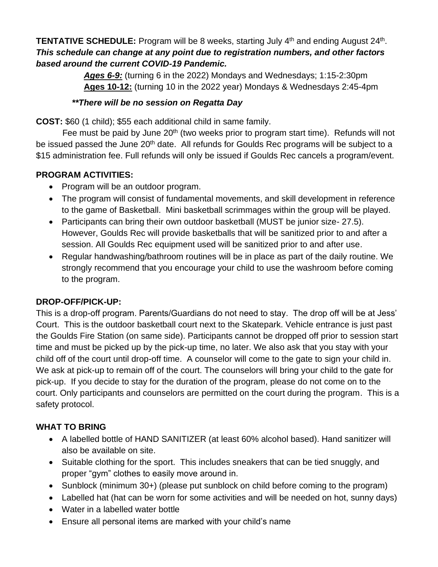### **TENTATIVE SCHEDULE:** Program will be 8 weeks, starting July 4<sup>th</sup> and ending August 24<sup>th</sup>. *This schedule can change at any point due to registration numbers, and other factors based around the current COVID-19 Pandemic.*

*Ages 6-9:* (turning 6 in the 2022) Mondays and Wednesdays; 1:15-2:30pm **Ages 10-12:** (turning 10 in the 2022 year) Mondays & Wednesdays 2:45-4pm

### *\*\*There will be no session on Regatta Day*

**COST:** \$60 (1 child); \$55 each additional child in same family.

Fee must be paid by June 20<sup>th</sup> (two weeks prior to program start time). Refunds will not be issued passed the June 20<sup>th</sup> date. All refunds for Goulds Rec programs will be subject to a \$15 administration fee. Full refunds will only be issued if Goulds Rec cancels a program/event.

## **PROGRAM ACTIVITIES:**

- Program will be an outdoor program.
- The program will consist of fundamental movements, and skill development in reference to the game of Basketball. Mini basketball scrimmages within the group will be played.
- Participants can bring their own outdoor basketball (MUST be junior size- 27.5). However, Goulds Rec will provide basketballs that will be sanitized prior to and after a session. All Goulds Rec equipment used will be sanitized prior to and after use.
- Regular handwashing/bathroom routines will be in place as part of the daily routine. We strongly recommend that you encourage your child to use the washroom before coming to the program.

### **DROP-OFF/PICK-UP:**

This is a drop-off program. Parents/Guardians do not need to stay. The drop off will be at Jess' Court. This is the outdoor basketball court next to the Skatepark. Vehicle entrance is just past the Goulds Fire Station (on same side). Participants cannot be dropped off prior to session start time and must be picked up by the pick-up time, no later. We also ask that you stay with your child off of the court until drop-off time. A counselor will come to the gate to sign your child in. We ask at pick-up to remain off of the court. The counselors will bring your child to the gate for pick-up. If you decide to stay for the duration of the program, please do not come on to the court. Only participants and counselors are permitted on the court during the program. This is a safety protocol.

# **WHAT TO BRING**

- A labelled bottle of HAND SANITIZER (at least 60% alcohol based). Hand sanitizer will also be available on site.
- Suitable clothing for the sport. This includes sneakers that can be tied snuggly, and proper "gym" clothes to easily move around in.
- Sunblock (minimum 30+) (please put sunblock on child before coming to the program)
- Labelled hat (hat can be worn for some activities and will be needed on hot, sunny days)
- Water in a labelled water bottle
- Ensure all personal items are marked with your child's name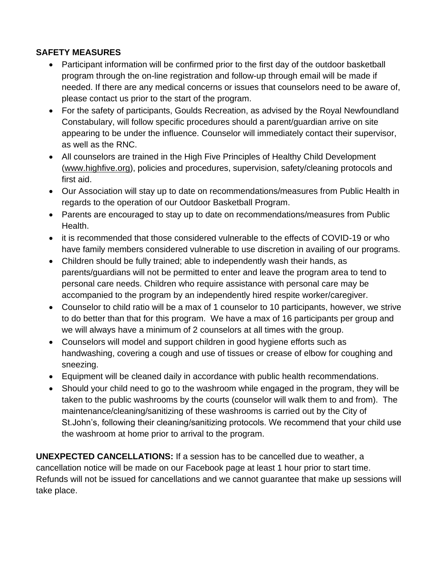#### **SAFETY MEASURES**

- Participant information will be confirmed prior to the first day of the outdoor basketball program through the on-line registration and follow-up through email will be made if needed. If there are any medical concerns or issues that counselors need to be aware of, please contact us prior to the start of the program.
- For the safety of participants, Goulds Recreation, as advised by the Royal Newfoundland Constabulary, will follow specific procedures should a parent/guardian arrive on site appearing to be under the influence. Counselor will immediately contact their supervisor, as well as the RNC.
- All counselors are trained in the High Five Principles of Healthy Child Development [\(www.highfive.org\)](http://www.highfive.org/), policies and procedures, supervision, safety/cleaning protocols and first aid.
- Our Association will stay up to date on recommendations/measures from Public Health in regards to the operation of our Outdoor Basketball Program.
- Parents are encouraged to stay up to date on recommendations/measures from Public Health.
- it is recommended that those considered vulnerable to the effects of COVID-19 or who have family members considered vulnerable to use discretion in availing of our programs.
- Children should be fully trained; able to independently wash their hands, as parents/guardians will not be permitted to enter and leave the program area to tend to personal care needs. Children who require assistance with personal care may be accompanied to the program by an independently hired respite worker/caregiver.
- Counselor to child ratio will be a max of 1 counselor to 10 participants, however, we strive to do better than that for this program. We have a max of 16 participants per group and we will always have a minimum of 2 counselors at all times with the group.
- Counselors will model and support children in good hygiene efforts such as handwashing, covering a cough and use of tissues or crease of elbow for coughing and sneezing.
- Equipment will be cleaned daily in accordance with public health recommendations.
- Should your child need to go to the washroom while engaged in the program, they will be taken to the public washrooms by the courts (counselor will walk them to and from). The maintenance/cleaning/sanitizing of these washrooms is carried out by the City of St.John's, following their cleaning/sanitizing protocols. We recommend that your child use the washroom at home prior to arrival to the program.

**UNEXPECTED CANCELLATIONS:** If a session has to be cancelled due to weather, a cancellation notice will be made on our Facebook page at least 1 hour prior to start time. Refunds will not be issued for cancellations and we cannot guarantee that make up sessions will take place.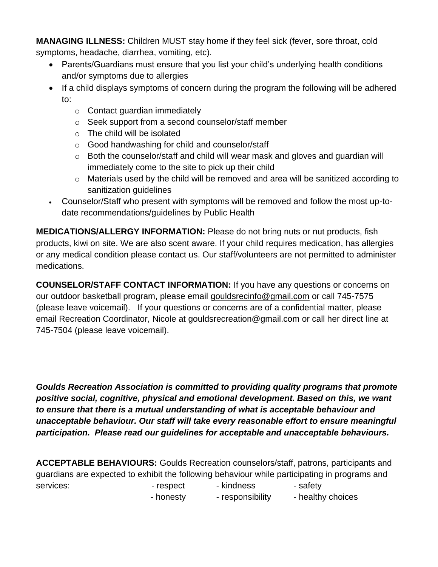**MANAGING ILLNESS:** Children MUST stay home if they feel sick (fever, sore throat, cold symptoms, headache, diarrhea, vomiting, etc).

- Parents/Guardians must ensure that you list your child's underlying health conditions and/or symptoms due to allergies
- If a child displays symptoms of concern during the program the following will be adhered to:
	- o Contact guardian immediately
	- o Seek support from a second counselor/staff member
	- o The child will be isolated
	- o Good handwashing for child and counselor/staff
	- $\circ$  Both the counselor/staff and child will wear mask and gloves and guardian will immediately come to the site to pick up their child
	- o Materials used by the child will be removed and area will be sanitized according to sanitization guidelines
- Counselor/Staff who present with symptoms will be removed and follow the most up-todate recommendations/guidelines by Public Health

**MEDICATIONS/ALLERGY INFORMATION:** Please do not bring nuts or nut products, fish products, kiwi on site. We are also scent aware. If your child requires medication, has allergies or any medical condition please contact us. Our staff/volunteers are not permitted to administer medications.

**COUNSELOR/STAFF CONTACT INFORMATION:** If you have any questions or concerns on our outdoor basketball program, please email [gouldsrecinfo@gmail.com](mailto:gouldsrecinfo@gmail.com) or call 745-7575 (please leave voicemail). If your questions or concerns are of a confidential matter, please email Recreation Coordinator, Nicole at [gouldsrecreation@gmail.com](mailto:gouldsrecreation@gmail.com) or call her direct line at 745-7504 (please leave voicemail).

*Goulds Recreation Association is committed to providing quality programs that promote positive social, cognitive, physical and emotional development. Based on this, we want to ensure that there is a mutual understanding of what is acceptable behaviour and unacceptable behaviour. Our staff will take every reasonable effort to ensure meaningful participation. Please read our guidelines for acceptable and unacceptable behaviours.*

**ACCEPTABLE BEHAVIOURS:** Goulds Recreation counselors/staff, patrons, participants and guardians are expected to exhibit the following behaviour while participating in programs and services: The services of the services: The services: The safety  $\sim$  respect the skindness of the safety

- honesty - responsibility - healthy choices